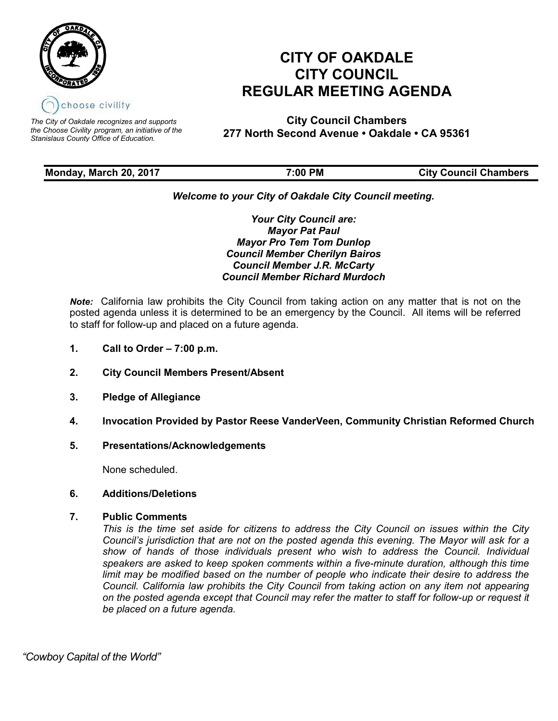

*The City of Oakdale recognizes and supports the Choose Civility program, an initiative of the Stanislaus County Office of Education.*

# **CITY OF OAKDALE CITY COUNCIL REGULAR MEETING AGENDA**

**City Council Chambers 277 North Second Avenue • Oakdale • CA 95361**

# **Monday, March 20, 2017 7:00 PM City Council Chambers**

# *Welcome to your City of Oakdale City Council meeting.*

*Your City Council are: Mayor Pat Paul Mayor Pro Tem Tom Dunlop Council Member Cherilyn Bairos Council Member J.R. McCarty Council Member Richard Murdoch*

*Note:* California law prohibits the City Council from taking action on any matter that is not on the posted agenda unless it is determined to be an emergency by the Council. All items will be referred to staff for follow-up and placed on a future agenda.

- **1. Call to Order – 7:00 p.m.**
- **2. City Council Members Present/Absent**
- **3. Pledge of Allegiance**
- **4. Invocation Provided by Pastor Reese VanderVeen, Community Christian Reformed Church**
- **5. Presentations/Acknowledgements**

None scheduled.

## **6. Additions/Deletions**

## **7. Public Comments**

*This is the time set aside for citizens to address the City Council on issues within the City Council's jurisdiction that are not on the posted agenda this evening. The Mayor will ask for a show of hands of those individuals present who wish to address the Council. Individual speakers are asked to keep spoken comments within a five-minute duration, although this time*  limit may be modified based on the number of people who indicate their desire to address the *Council. California law prohibits the City Council from taking action on any item not appearing on the posted agenda except that Council may refer the matter to staff for follow-up or request it be placed on a future agenda.*

 *"Cowboy Capital of the World"*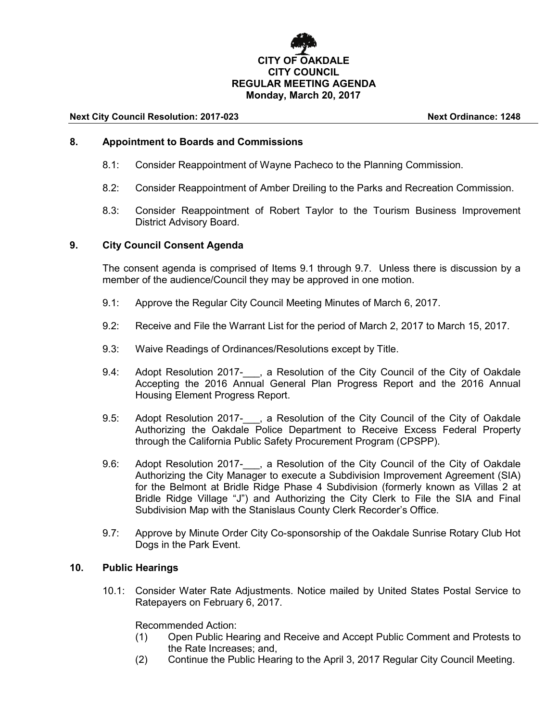# **CITY OF OAKDALE CITY COUNCIL REGULAR MEETING AGENDA Monday, March 20, 2017**

#### **Next City Council Resolution: 2017-023 Next Ordinance: 1248**

#### **8. Appointment to Boards and Commissions**

- 8.1: Consider Reappointment of Wayne Pacheco to the Planning Commission.
- 8.2: Consider Reappointment of Amber Dreiling to the Parks and Recreation Commission.
- 8.3: Consider Reappointment of Robert Taylor to the Tourism Business Improvement District Advisory Board.

#### **9. City Council Consent Agenda**

The consent agenda is comprised of Items 9.1 through 9.7. Unless there is discussion by a member of the audience/Council they may be approved in one motion.

- 9.1: Approve the Regular City Council Meeting Minutes of March 6, 2017.
- 9.2: Receive and File the Warrant List for the period of March 2, 2017 to March 15, 2017.
- 9.3: Waive Readings of Ordinances/Resolutions except by Title.
- 9.4: Adopt Resolution 2017- , a Resolution of the City Council of the City of Oakdale Accepting the 2016 Annual General Plan Progress Report and the 2016 Annual Housing Element Progress Report.
- 9.5: Adopt Resolution 2017-\_\_\_, a Resolution of the City Council of the City of Oakdale Authorizing the Oakdale Police Department to Receive Excess Federal Property through the California Public Safety Procurement Program (CPSPP).
- 9.6: Adopt Resolution 2017-, a Resolution of the City Council of the City of Oakdale Authorizing the City Manager to execute a Subdivision Improvement Agreement (SIA) for the Belmont at Bridle Ridge Phase 4 Subdivision (formerly known as Villas 2 at Bridle Ridge Village "J") and Authorizing the City Clerk to File the SIA and Final Subdivision Map with the Stanislaus County Clerk Recorder's Office.
- 9.7: Approve by Minute Order City Co-sponsorship of the Oakdale Sunrise Rotary Club Hot Dogs in the Park Event.

#### **10. Public Hearings**

10.1: Consider Water Rate Adjustments. Notice mailed by United States Postal Service to Ratepayers on February 6, 2017.

Recommended Action:

- (1) Open Public Hearing and Receive and Accept Public Comment and Protests to the Rate Increases; and,
- (2) Continue the Public Hearing to the April 3, 2017 Regular City Council Meeting.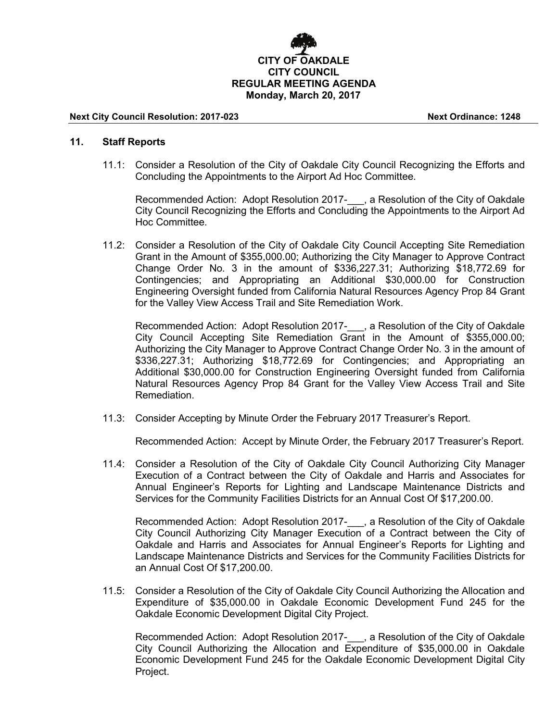

#### **Next City Council Resolution: 2017-023 Next Ordinance: 1248**

#### **11. Staff Reports**

11.1: Consider a Resolution of the City of Oakdale City Council Recognizing the Efforts and Concluding the Appointments to the Airport Ad Hoc Committee.

Recommended Action: Adopt Resolution 2017-<sub>, a</sub> Resolution of the City of Oakdale City Council Recognizing the Efforts and Concluding the Appointments to the Airport Ad Hoc Committee.

11.2: Consider a Resolution of the City of Oakdale City Council Accepting Site Remediation Grant in the Amount of \$355,000.00; Authorizing the City Manager to Approve Contract Change Order No. 3 in the amount of \$336,227.31; Authorizing \$18,772.69 for Contingencies; and Appropriating an Additional \$30,000.00 for Construction Engineering Oversight funded from California Natural Resources Agency Prop 84 Grant for the Valley View Access Trail and Site Remediation Work.

Recommended Action: Adopt Resolution 2017-\_\_\_, a Resolution of the City of Oakdale City Council Accepting Site Remediation Grant in the Amount of \$355,000.00; Authorizing the City Manager to Approve Contract Change Order No. 3 in the amount of \$336,227.31; Authorizing \$18,772.69 for Contingencies; and Appropriating an Additional \$30,000.00 for Construction Engineering Oversight funded from California Natural Resources Agency Prop 84 Grant for the Valley View Access Trail and Site Remediation.

11.3: Consider Accepting by Minute Order the February 2017 Treasurer's Report.

Recommended Action: Accept by Minute Order, the February 2017 Treasurer's Report.

11.4: Consider a Resolution of the City of Oakdale City Council Authorizing City Manager Execution of a Contract between the City of Oakdale and Harris and Associates for Annual Engineer's Reports for Lighting and Landscape Maintenance Districts and Services for the Community Facilities Districts for an Annual Cost Of \$17,200.00.

Recommended Action: Adopt Resolution 2017- , a Resolution of the City of Oakdale City Council Authorizing City Manager Execution of a Contract between the City of Oakdale and Harris and Associates for Annual Engineer's Reports for Lighting and Landscape Maintenance Districts and Services for the Community Facilities Districts for an Annual Cost Of \$17,200.00.

11.5: Consider a Resolution of the City of Oakdale City Council Authorizing the Allocation and Expenditure of \$35,000.00 in Oakdale Economic Development Fund 245 for the Oakdale Economic Development Digital City Project.

Recommended Action: Adopt Resolution 2017- , a Resolution of the City of Oakdale City Council Authorizing the Allocation and Expenditure of \$35,000.00 in Oakdale Economic Development Fund 245 for the Oakdale Economic Development Digital City Project.